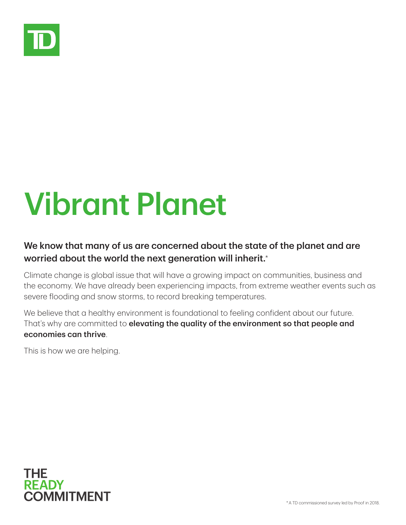

## Vibrant Planet

## We know that many of us are concerned about the state of the planet and are worried about the world the next generation will inherit.<sup>\*</sup>

Climate change is global issue that will have a growing impact on communities, business and the economy. We have already been experiencing impacts, from extreme weather events such as severe flooding and snow storms, to record breaking temperatures.

We believe that a healthy environment is foundational to feeling confident about our future. That's why are committed to elevating the quality of the environment so that people and economies can thrive.

This is how we are helping.